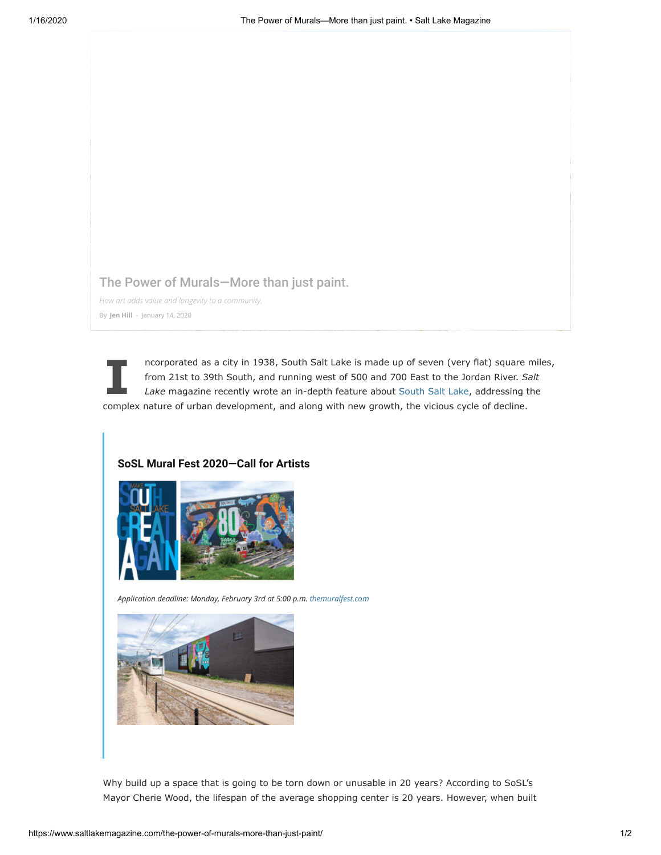## [The Power of Murals—More than just paint.](https://s25468.pcdn.co/wp-content/uploads/2019/10/mmWT0C5217.jpg)

*How art adds value and longevity to a community.* By **Jen [Hill](https://www.saltlakemagazine.com/author/jhill/)** - January 14, 2020

**I** ncorporated as a city in 1938, South Salt Lake is made up of seven (very flat) square miles, from 21st to 39th South, and running west of 500 and 700 East to the Jordan River. *Salt Lake* magazine recently wrote an in-depth feature about [South Salt Lake,](https://www.saltlakemagazine.com/south-salt-lake/) addressing the complex nature of urban development, and along with new growth, the vicious cycle of decline.

## **SoSL Mural Fest 2020—Call for Artists**



*Application deadline: Monday, February 3rd at 5:00 p.m. [themuralfest.com](https://l.facebook.com/l.php?u=http%3A%2F%2Fthemuralfest.com%2F%3Ffbclid%3DIwAR32U4x7KUunZ8sAa0aKmgEdFf93ixOX7y3Gw5M_Z1eXSdpuL1tN0cNS0QE&h=AT0qjza5401mIiaXYK8_0dkRMKBty20xMB7VIoggpWn8wNS2FWKkPFXihEOtSviCobsi0XZ61q5_Mo-1Mm7ZWXoiqPZwQ7F2aCFbfJH1xX3M7GNQjeZPedtrgsDguBQu7Zt0UOVyQZK5bRGLZFq45Scr2iejlIJvkmoUuM6aNoPzjjRkPF7NjHxP5PLgltcRmjgmGFN4n7pLajixZwVDppMwJaBIRdaSRaMYq-yvuVplHjquRlSZUbfpFgThtIBQd3TYdP71gdrhb72GJv3cQgu1VVoWGrWgNhyx9EjqB4uOkbLedDGhiBoCmfWJv7pqJxPRIO0_nyBP2q-MQbLId8CQ1OvQc5MQySqv0op1qCw1s5-Jp_iGee2RO1czED5_SsINwa1_5S5Buu-0iBbUOFGqZQ28JqTq5C91_wUMujohUUJynftcuwukOUCHfLoAbWzkb1RViAHAZqjaol8VUCc0nec1a8eFV7gweMBZB2f9FZYAXbCIghL4rrbBON6eCORB-TSC-Zd9cUSdUWD5tQxloCEh2zG70wqAELIw7XQ7fXGRUW9nNZj2n94JxyM6BxWIxKZFCq7JWYHj8sco7XOPonvZ9K-l6ggnS2TE-jggCLwhKnFEQBglbD4gwRk)*



Why build up a space that is going to be torn down or unusable in 20 years? According to SoSL's Mayor Cherie Wood, the lifespan of the average shopping center is 20 years. However, when built